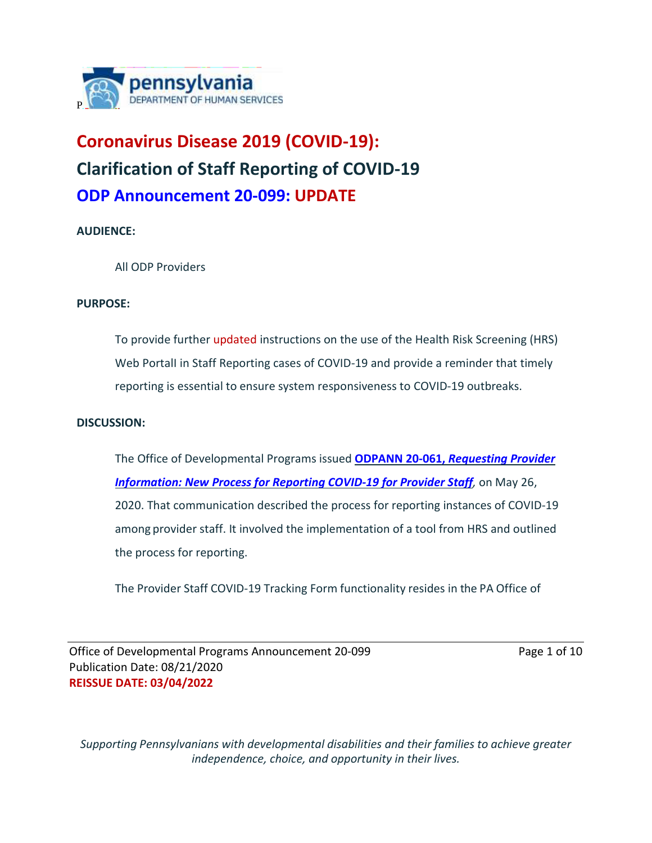

# **Coronavirus Disease 2019 (COVID-19): Clarification of Staff Reporting of COVID-19 ODP Announcement 20-099: UPDATE**

### **AUDIENCE:**

All ODP Providers

#### **PURPOSE:**

To provide further updated instructions on the use of the Health Risk Screening (HRS) Web PortalI in Staff Reporting cases of COVID-19 and provide a reminder that timely reporting is essential to ensure system responsiveness to COVID-19 outbreaks.

#### **DISCUSSION:**

The Office of Developmental Programs issued **ODPANN 20-061,** *[Requesting Provider](https://palms-awss3-repository.s3-us-west-2.amazonaws.com/Communications/ODP/2020/ODPANN%2B20-061%2B-%2BCoronavirus%2BDisease%2B2019%2B(COVID-19)%2B-%2B%2BRequesting%2BProvider%2BInformation%2B-%2BNew%2BProcess%2Bfor%2BReporting%2BCOVID-19%2Bfor%2BProvider%2BStaff%2B%2B%2B%2B05-26-20.pdf) [Information: New Process for Reporting COVID-19 for Provider Staff](https://palms-awss3-repository.s3-us-west-2.amazonaws.com/Communications/ODP/2020/ODPANN%2B20-061%2B-%2BCoronavirus%2BDisease%2B2019%2B(COVID-19)%2B-%2B%2BRequesting%2BProvider%2BInformation%2B-%2BNew%2BProcess%2Bfor%2BReporting%2BCOVID-19%2Bfor%2BProvider%2BStaff%2B%2B%2B%2B05-26-20.pdf), on May 26,* 2020. That communication described the process for reporting instances of COVID-19 among provider staff. It involved the implementation of a tool from HRS and outlined the process for reporting.

The Provider Staff COVID-19 Tracking Form functionality resides in the PA Office of

Office of Developmental Programs Announcement 20-099 Page 1 of 10 Publication Date: 08/21/2020 **REISSUE DATE: 03/04/2022**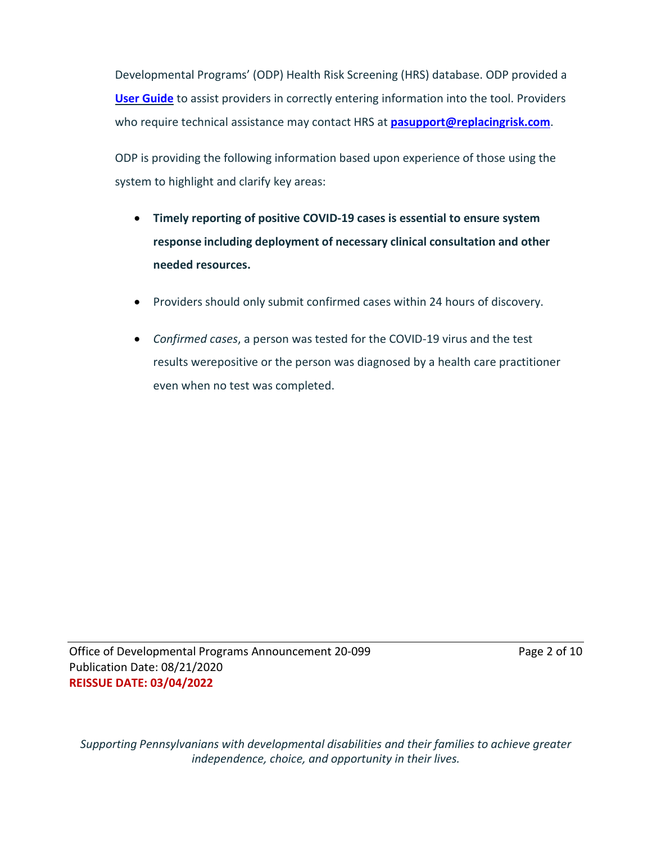Developmental Programs' (ODP) Health Risk Screening (HRS) database. ODP provided a **[User Guide](https://palms-awss3-repository.s3-us-west-2.amazonaws.com/MyODP_Content/Course%2BContent/Coronavirus%2B(COVID-19)/PA%2BStaff%2BCOVID%2B19%2BUser%2BGuide.pdf)** to assist providers in correctly entering information into the tool. Providers who require technical assistance may contact HRS at **[pasupport@replacingrisk.com](mailto:pasupport@replacingrisk.com)**.

ODP is providing the following information based upon experience of those using the system to highlight and clarify key areas:

- **Timely reporting of positive COVID-19 cases is essential to ensure system response including deployment of necessary clinical consultation and other needed resources.**
- Providers should only submit confirmed cases within 24 hours of discovery.
- *Confirmed cases*, a person was tested for the COVID-19 virus and the test results werepositive or the person was diagnosed by a health care practitioner even when no test was completed.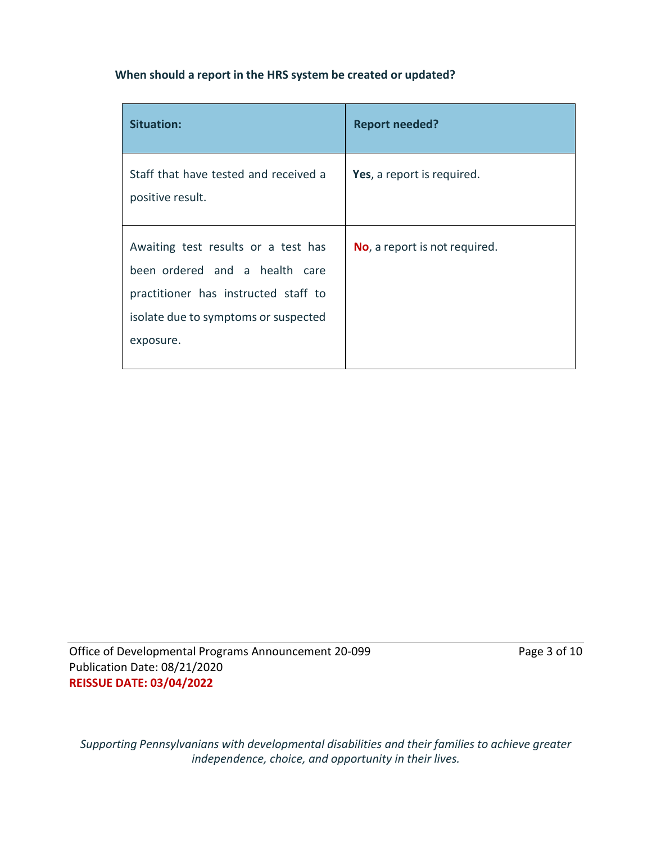## **When should a report in the HRS system be created or updated?**

| <b>Situation:</b>                                                                                                                                                  | <b>Report needed?</b>         |
|--------------------------------------------------------------------------------------------------------------------------------------------------------------------|-------------------------------|
| Staff that have tested and received a<br>positive result.                                                                                                          | Yes, a report is required.    |
| Awaiting test results or a test has<br>been ordered and a health care<br>practitioner has instructed staff to<br>isolate due to symptoms or suspected<br>exposure. | No, a report is not required. |

Office of Developmental Programs Announcement 20-099 Page 3 of 10 Publication Date: 08/21/2020 **REISSUE DATE: 03/04/2022**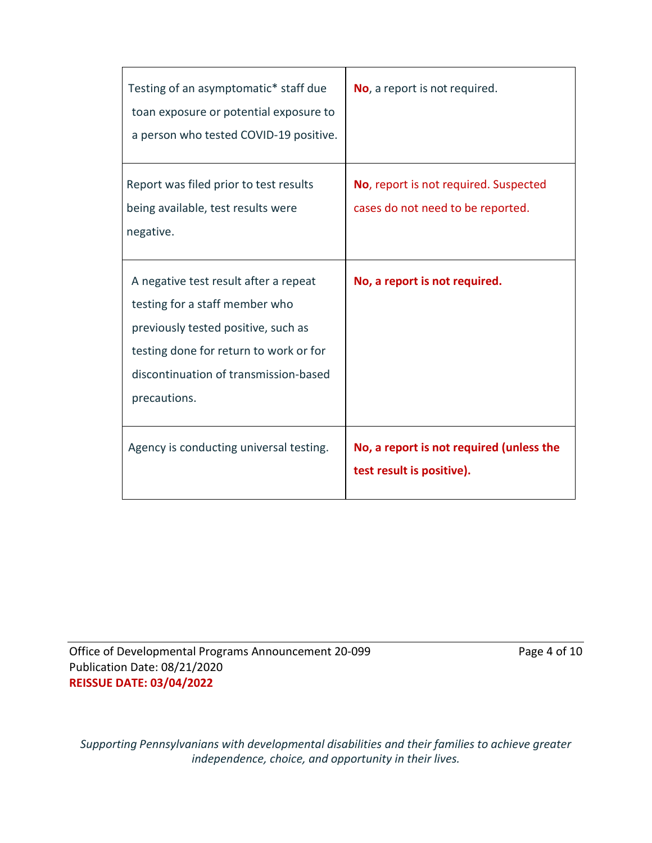| Testing of an asymptomatic* staff due<br>toan exposure or potential exposure to<br>a person who tested COVID-19 positive.                                                                                         | No, a report is not required.                                              |
|-------------------------------------------------------------------------------------------------------------------------------------------------------------------------------------------------------------------|----------------------------------------------------------------------------|
| Report was filed prior to test results<br>being available, test results were<br>negative.                                                                                                                         | No, report is not required. Suspected<br>cases do not need to be reported. |
| A negative test result after a repeat<br>testing for a staff member who<br>previously tested positive, such as<br>testing done for return to work or for<br>discontinuation of transmission-based<br>precautions. | No, a report is not required.                                              |
| Agency is conducting universal testing.                                                                                                                                                                           | No, a report is not required (unless the<br>test result is positive).      |

Office of Developmental Programs Announcement 20-099 Page 4 of 10 Publication Date: 08/21/2020 **REISSUE DATE: 03/04/2022**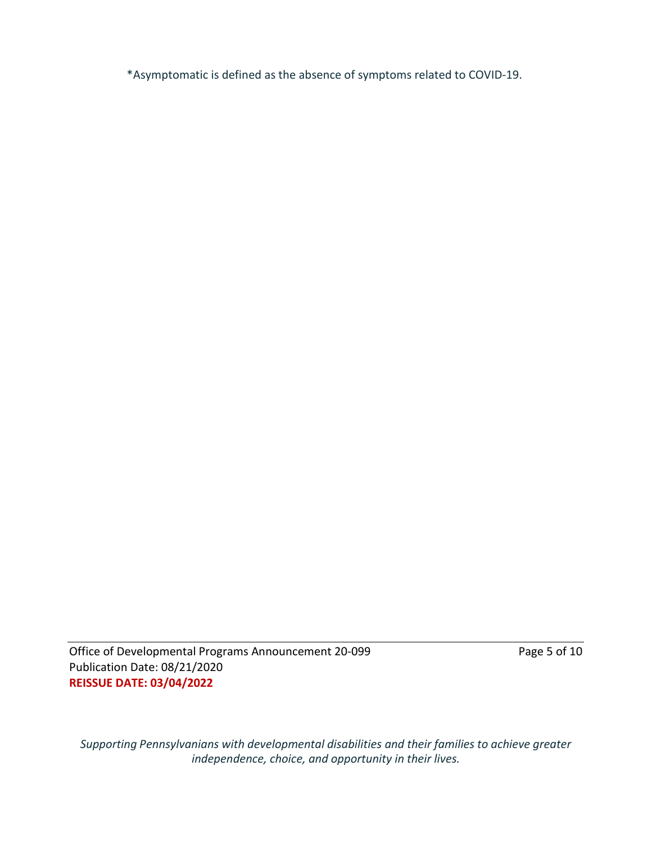\*Asymptomatic is defined as the absence of symptoms related to COVID-19.

Office of Developmental Programs Announcement 20-099 Page 5 of 10 Publication Date: 08/21/2020 **REISSUE DATE: 03/04/2022**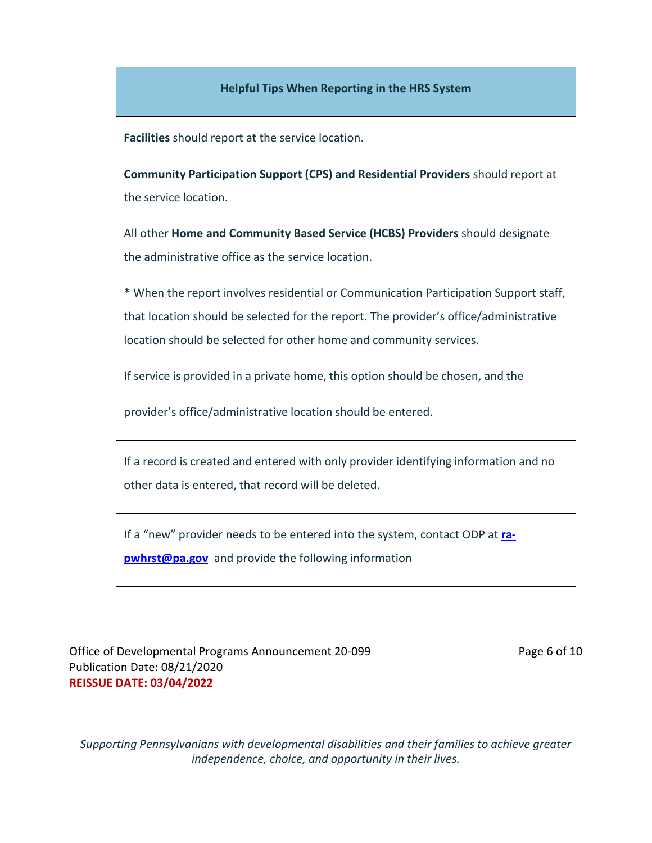## **Helpful Tips When Reporting in the HRS System**

**Facilities** should report at the service location.

**Community Participation Support (CPS) and Residential Providers** should report at the service location.

All other **Home and Community Based Service (HCBS) Providers** should designate the administrative office as the service location.

\* When the report involves residential or Communication Participation Support staff, that location should be selected for the report. The provider's office/administrative location should be selected for other home and community services.

If service is provided in a private home, this option should be chosen, and the

provider's office/administrative location should be entered.

If a record is created and entered with only provider identifying information and no other data is entered, that record will be deleted.

If a "new" provider needs to be entered into the system, contact ODP at **[ra](mailto:ra-pwhrst@pa.gov)[pwhrst@pa.gov](mailto:ra-pwhrst@pa.gov)** and provide the following information

Office of Developmental Programs Announcement 20-099 Page 6 of 10 Publication Date: 08/21/2020 **REISSUE DATE: 03/04/2022**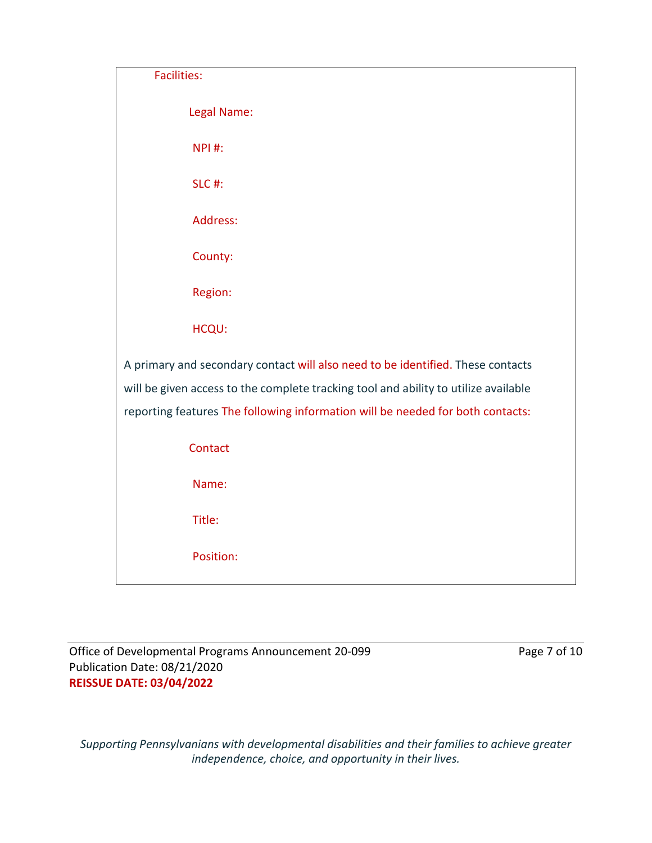| Facilities:                                                                                                                                                                                                                                              |  |
|----------------------------------------------------------------------------------------------------------------------------------------------------------------------------------------------------------------------------------------------------------|--|
| Legal Name:                                                                                                                                                                                                                                              |  |
| <b>NPI#:</b>                                                                                                                                                                                                                                             |  |
| <b>SLC #:</b>                                                                                                                                                                                                                                            |  |
| Address:                                                                                                                                                                                                                                                 |  |
| County:                                                                                                                                                                                                                                                  |  |
| Region:                                                                                                                                                                                                                                                  |  |
| HCQU:                                                                                                                                                                                                                                                    |  |
| A primary and secondary contact will also need to be identified. These contacts<br>will be given access to the complete tracking tool and ability to utilize available<br>reporting features The following information will be needed for both contacts: |  |
| Contact                                                                                                                                                                                                                                                  |  |
| Name:                                                                                                                                                                                                                                                    |  |
| Title:                                                                                                                                                                                                                                                   |  |
| Position:                                                                                                                                                                                                                                                |  |

Office of Developmental Programs Announcement 20-099 Page 7 of 10 Publication Date: 08/21/2020 **REISSUE DATE: 03/04/2022**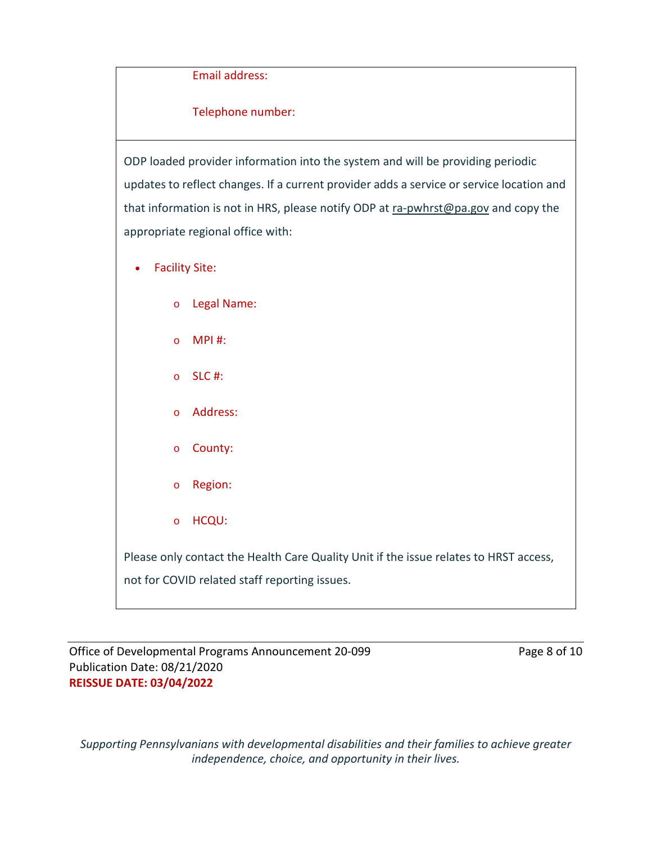#### Email address:

## Telephone number:

ODP loaded provider information into the system and will be providing periodic updates to reflect changes. If a current provider adds a service or service location and that information is not in HRS, please notify ODP at [ra-pwhrst@pa.gov](mailto:ra-pwhrst@pa.gov) and copy the appropriate regional office with:

- Facility Site:
	- o Legal Name:
	- o MPI #:
	- o SLC #:
	- o Address:
	- o County:
	- o Region:
	- o HCQU:

Please only contact the Health Care Quality Unit if the issue relates to HRST access, not for COVID related staff reporting issues.

Office of Developmental Programs Announcement 20-099 Page 8 of 10 Publication Date: 08/21/2020 **REISSUE DATE: 03/04/2022**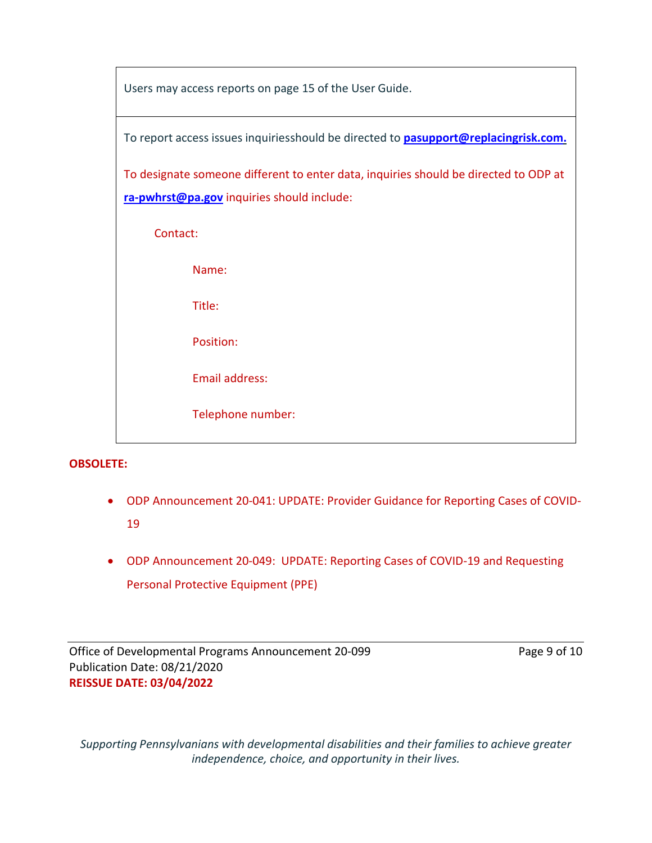Users may access reports on page 15 of the User Guide.

To report access issues inquiriesshould be directed to **[pasupport@replacingrisk.com.](mailto:pasupport@replacingrisk.com)** To designate someone different to enter data, inquiries should be directed to ODP at **[ra-pwhrst@pa.gov](mailto:ra-pwhrst@pa.gov)** inquiries should include: Contact: Name: Title: Position: Email address: Telephone number:

#### **OBSOLETE:**

- ODP Announcement 20-041: UPDATE: Provider Guidance for Reporting Cases of COVID-19
- ODP Announcement 20-049: UPDATE: Reporting Cases of COVID-19 and Requesting Personal Protective Equipment (PPE)

Office of Developmental Programs Announcement 20-099 Page 9 of 10 Publication Date: 08/21/2020 **REISSUE DATE: 03/04/2022**